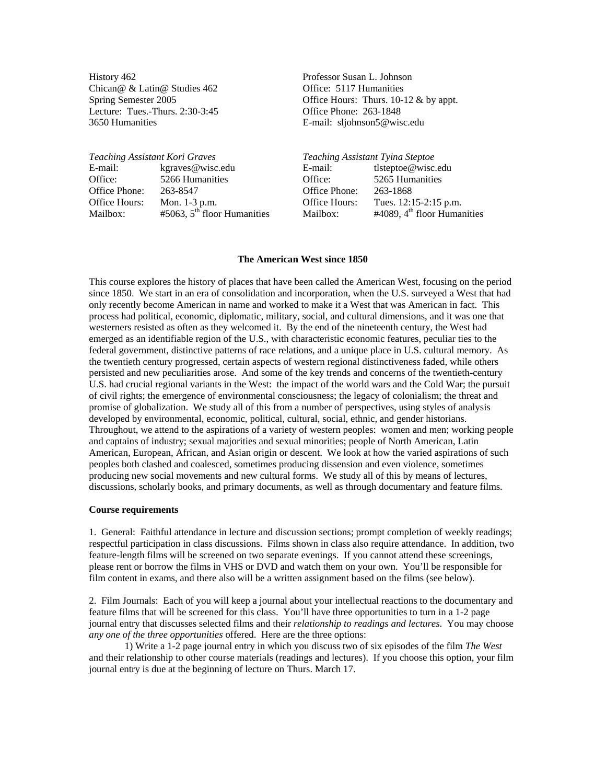History 462 Professor Susan L. Johnson Chican@ & Latin@ Studies 462 Office: 5117 Humanities Lecture: Tues.-Thurs. 2:30-3:45 Office Phone: 263-1848 3650 Humanities E-mail: [sljohnson5@wisc.edu](mailto:sljohnson5@wisc.edu)

Spring Semester 2005 Office Hours: Thurs. 10-12 & by appt.

| Teaching Assistant Kori Graves |                               | Teaching Assistant Tyina Steptoe |                               |
|--------------------------------|-------------------------------|----------------------------------|-------------------------------|
| E-mail:                        | kgraves@wisc.edu              | E-mail:                          | tlsteptoe@wisc.edu            |
| Office:                        | 5266 Humanities               | Office:                          | 5265 Humanities               |
| Office Phone:                  | 263-8547                      | Office Phone:                    | 263-1868                      |
| Office Hours:                  | Mon. 1-3 p.m.                 | Office Hours:                    | Tues. 12:15-2:15 p.m.         |
| Mailbox:                       | #5063, $5th$ floor Humanities | Mailbox:                         | #4089, $4th$ floor Humanities |

#### **The American West since 1850**

This course explores the history of places that have been called the American West, focusing on the period since 1850. We start in an era of consolidation and incorporation, when the U.S. surveyed a West that had only recently become American in name and worked to make it a West that was American in fact. This process had political, economic, diplomatic, military, social, and cultural dimensions, and it was one that westerners resisted as often as they welcomed it. By the end of the nineteenth century, the West had emerged as an identifiable region of the U.S., with characteristic economic features, peculiar ties to the federal government, distinctive patterns of race relations, and a unique place in U.S. cultural memory. As the twentieth century progressed, certain aspects of western regional distinctiveness faded, while others persisted and new peculiarities arose. And some of the key trends and concerns of the twentieth-century U.S. had crucial regional variants in the West: the impact of the world wars and the Cold War; the pursuit of civil rights; the emergence of environmental consciousness; the legacy of colonialism; the threat and promise of globalization. We study all of this from a number of perspectives, using styles of analysis developed by environmental, economic, political, cultural, social, ethnic, and gender historians. Throughout, we attend to the aspirations of a variety of western peoples: women and men; working people and captains of industry; sexual majorities and sexual minorities; people of North American, Latin American, European, African, and Asian origin or descent. We look at how the varied aspirations of such peoples both clashed and coalesced, sometimes producing dissension and even violence, sometimes producing new social movements and new cultural forms. We study all of this by means of lectures, discussions, scholarly books, and primary documents, as well as through documentary and feature films.

#### **Course requirements**

1. General: Faithful attendance in lecture and discussion sections; prompt completion of weekly readings; respectful participation in class discussions. Films shown in class also require attendance. In addition, two feature-length films will be screened on two separate evenings. If you cannot attend these screenings, please rent or borrow the films in VHS or DVD and watch them on your own. You'll be responsible for film content in exams, and there also will be a written assignment based on the films (see below).

2. Film Journals: Each of you will keep a journal about your intellectual reactions to the documentary and feature films that will be screened for this class. You'll have three opportunities to turn in a 1-2 page journal entry that discusses selected films and their *relationship to readings and lectures*. You may choose *any one of the three opportunities* offered. Here are the three options:

1) Write a 1-2 page journal entry in which you discuss two of six episodes of the film *The West* and their relationship to other course materials (readings and lectures). If you choose this option, your film journal entry is due at the beginning of lecture on Thurs. March 17.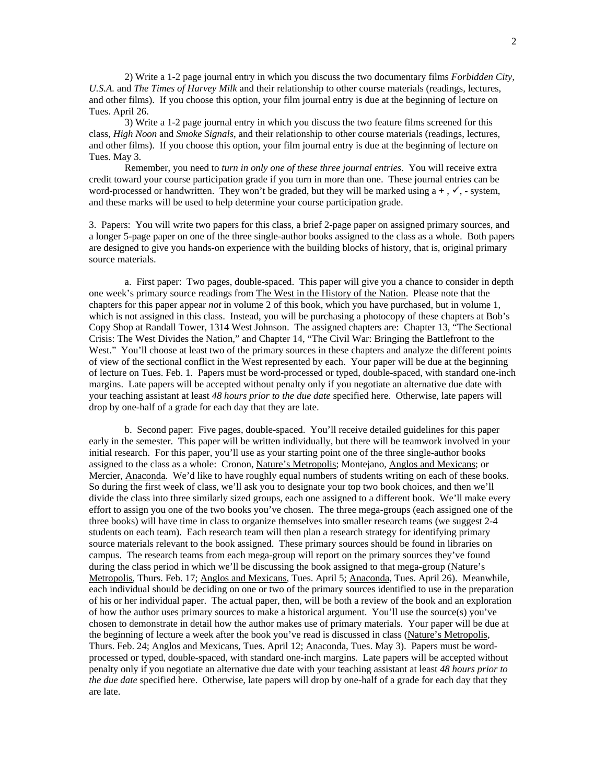2) Write a 1-2 page journal entry in which you discuss the two documentary films *Forbidden City, U.S.A.* and *The Times of Harvey Milk* and their relationship to other course materials (readings, lectures, and other films). If you choose this option, your film journal entry is due at the beginning of lecture on Tues. April 26.

3) Write a 1-2 page journal entry in which you discuss the two feature films screened for this class, *High Noon* and *Smoke Signals*, and their relationship to other course materials (readings, lectures, and other films). If you choose this option, your film journal entry is due at the beginning of lecture on Tues. May 3.

Remember, you need to *turn in only one of these three journal entries*. You will receive extra credit toward your course participation grade if you turn in more than one. These journal entries can be word-processed or handwritten. They won't be graded, but they will be marked using  $a +$ ,  $\checkmark$ , - system, and these marks will be used to help determine your course participation grade.

3. Papers: You will write two papers for this class, a brief 2-page paper on assigned primary sources, and a longer 5-page paper on one of the three single-author books assigned to the class as a whole. Both papers are designed to give you hands-on experience with the building blocks of history, that is, original primary source materials.

a. First paper: Two pages, double-spaced. This paper will give you a chance to consider in depth one week's primary source readings from The West in the History of the Nation. Please note that the chapters for this paper appear *not* in volume 2 of this book, which you have purchased, but in volume 1, which is not assigned in this class. Instead, you will be purchasing a photocopy of these chapters at Bob's Copy Shop at Randall Tower, 1314 West Johnson. The assigned chapters are: Chapter 13, "The Sectional Crisis: The West Divides the Nation," and Chapter 14, "The Civil War: Bringing the Battlefront to the West." You'll choose at least two of the primary sources in these chapters and analyze the different points of view of the sectional conflict in the West represented by each. Your paper will be due at the beginning of lecture on Tues. Feb. 1.Papers must be word-processed or typed, double-spaced, with standard one-inch margins. Late papers will be accepted without penalty only if you negotiate an alternative due date with your teaching assistant at least *48 hours prior to the due date* specified here. Otherwise, late papers will drop by one-half of a grade for each day that they are late.

b. Second paper: Five pages, double-spaced. You'll receive detailed guidelines for this paper early in the semester. This paper will be written individually, but there will be teamwork involved in your initial research. For this paper, you'll use as your starting point one of the three single-author books assigned to the class as a whole: Cronon, Nature's Metropolis; Montejano, Anglos and Mexicans; or Mercier, Anaconda. We'd like to have roughly equal numbers of students writing on each of these books. So during the first week of class, we'll ask you to designate your top two book choices, and then we'll divide the class into three similarly sized groups, each one assigned to a different book. We'll make every effort to assign you one of the two books you've chosen. The three mega-groups (each assigned one of the three books) will have time in class to organize themselves into smaller research teams (we suggest 2-4 students on each team). Each research team will then plan a research strategy for identifying primary source materials relevant to the book assigned. These primary sources should be found in libraries on campus. The research teams from each mega-group will report on the primary sources they've found during the class period in which we'll be discussing the book assigned to that mega-group (Nature's Metropolis, Thurs. Feb. 17; Anglos and Mexicans, Tues. April 5; Anaconda, Tues. April 26). Meanwhile, each individual should be deciding on one or two of the primary sources identified to use in the preparation of his or her individual paper. The actual paper, then, will be both a review of the book and an exploration of how the author uses primary sources to make a historical argument. You'll use the source(s) you've chosen to demonstrate in detail how the author makes use of primary materials. Your paper will be due at the beginning of lecture a week after the book you've read is discussed in class (Nature's Metropolis, Thurs. Feb. 24; Anglos and Mexicans, Tues. April 12; Anaconda, Tues. May 3). Papers must be wordprocessed or typed, double-spaced, with standard one-inch margins. Late papers will be accepted without penalty only if you negotiate an alternative due date with your teaching assistant at least *48 hours prior to the due date* specified here. Otherwise, late papers will drop by one-half of a grade for each day that they are late.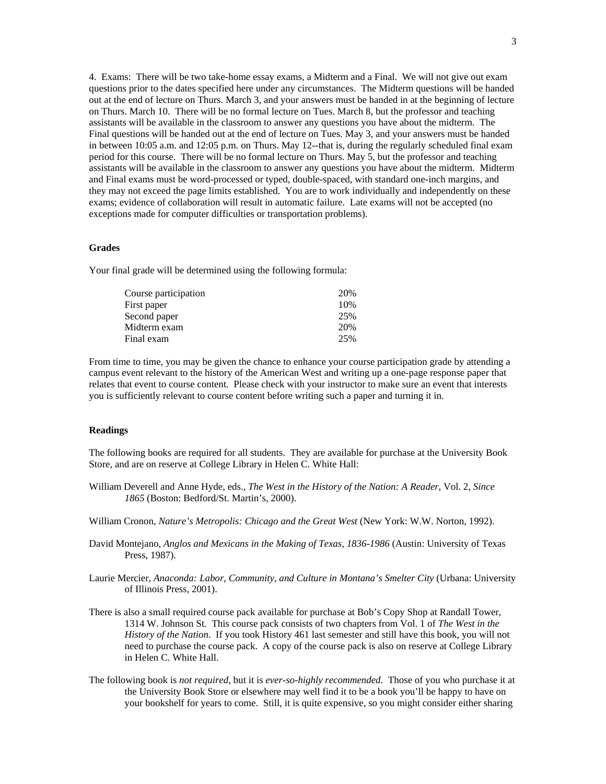4. Exams: There will be two take-home essay exams, a Midterm and a Final. We will not give out exam questions prior to the dates specified here under any circumstances. The Midterm questions will be handed out at the end of lecture on Thurs. March 3, and your answers must be handed in at the beginning of lecture on Thurs. March 10. There will be no formal lecture on Tues. March 8, but the professor and teaching assistants will be available in the classroom to answer any questions you have about the midterm. The Final questions will be handed out at the end of lecture on Tues. May 3, and your answers must be handed in between 10:05 a.m. and 12:05 p.m. on Thurs. May 12--that is, during the regularly scheduled final exam period for this course. There will be no formal lecture on Thurs. May 5, but the professor and teaching assistants will be available in the classroom to answer any questions you have about the midterm. Midterm and Final exams must be word-processed or typed, double-spaced, with standard one-inch margins, and they may not exceed the page limits established. You are to work individually and independently on these exams; evidence of collaboration will result in automatic failure. Late exams will not be accepted (no exceptions made for computer difficulties or transportation problems).

## **Grades**

Your final grade will be determined using the following formula:

| Course participation | 20% |
|----------------------|-----|
| First paper          | 10% |
| Second paper         | 25% |
| Midterm exam         | 20% |
| Final exam           | 25% |

From time to time, you may be given the chance to enhance your course participation grade by attending a campus event relevant to the history of the American West and writing up a one-page response paper that relates that event to course content. Please check with your instructor to make sure an event that interests you is sufficiently relevant to course content before writing such a paper and turning it in.

## **Readings**

The following books are required for all students. They are available for purchase at the University Book Store, and are on reserve at College Library in Helen C. White Hall:

- William Deverell and Anne Hyde, eds., *The West in the History of the Nation: A Reader*, Vol. 2, *Since 1865* (Boston: Bedford/St. Martin's, 2000).
- William Cronon, *Nature's Metropolis: Chicago and the Great West* (New York: W.W. Norton, 1992).
- David Montejano, *Anglos and Mexicans in the Making of Texas, 1836-1986* (Austin: University of Texas Press, 1987).
- Laurie Mercier, *Anaconda: Labor, Community, and Culture in Montana's Smelter City* (Urbana: University of Illinois Press, 2001).
- There is also a small required course pack available for purchase at Bob's Copy Shop at Randall Tower, 1314 W. Johnson St. This course pack consists of two chapters from Vol. 1 of *The West in the History of the Nation*. If you took History 461 last semester and still have this book, you will not need to purchase the course pack. A copy of the course pack is also on reserve at College Library in Helen C. White Hall.
- The following book is *not required*, but it is *ever-so-highly recommended*. Those of you who purchase it at the University Book Store or elsewhere may well find it to be a book you'll be happy to have on your bookshelf for years to come. Still, it is quite expensive, so you might consider either sharing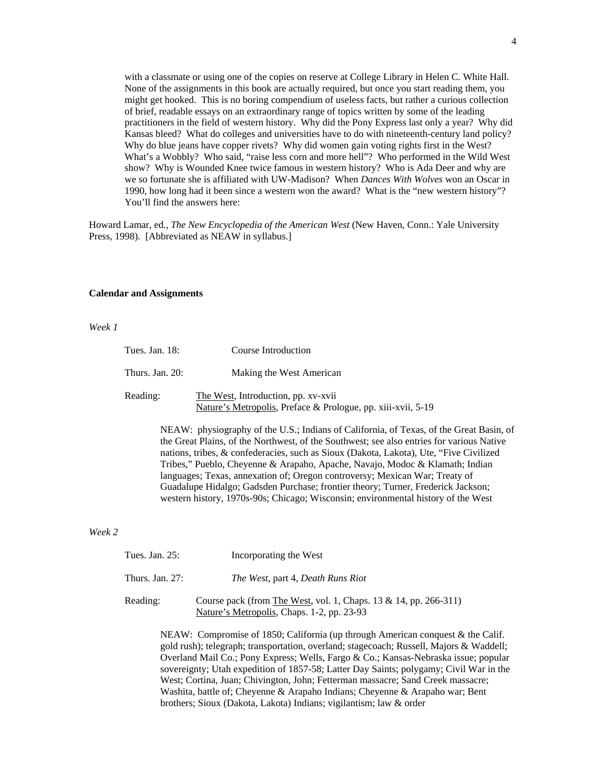with a classmate or using one of the copies on reserve at College Library in Helen C. White Hall. None of the assignments in this book are actually required, but once you start reading them, you might get hooked. This is no boring compendium of useless facts, but rather a curious collection of brief, readable essays on an extraordinary range of topics written by some of the leading practitioners in the field of western history. Why did the Pony Express last only a year? Why did Kansas bleed? What do colleges and universities have to do with nineteenth-century land policy? Why do blue jeans have copper rivets? Why did women gain voting rights first in the West? What's a Wobbly? Who said, "raise less corn and more hell"? Who performed in the Wild West show? Why is Wounded Knee twice famous in western history? Who is Ada Deer and why are we so fortunate she is affiliated with UW-Madison? When *Dances With Wolves* won an Oscar in 1990, how long had it been since a western won the award? What is the "new western history"? You'll find the answers here:

Howard Lamar, ed., *The New Encyclopedia of the American West* (New Haven, Conn.: Yale University Press, 1998). [Abbreviated as NEAW in syllabus.]

## **Calendar and Assignments**

## *Week 1*

| Tues. Jan. 18:  | Course Introduction                                                                                 |
|-----------------|-----------------------------------------------------------------------------------------------------|
| Thurs. Jan. 20: | Making the West American                                                                            |
| Reading:        | The West, Introduction, pp. xv-xvii<br>Nature's Metropolis, Preface & Prologue, pp. xiii-xvii, 5-19 |
|                 | $NFAW:$ physiography of the $I.S.$ Indians of California of Texas, of                               |

NEAW: physiography of the U.S.; Indians of California, of Texas, of the Great Basin, of the Great Plains, of the Northwest, of the Southwest; see also entries for various Native nations, tribes, & confederacies, such as Sioux (Dakota, Lakota), Ute, "Five Civilized Tribes," Pueblo, Cheyenne & Arapaho, Apache, Navajo, Modoc & Klamath; Indian languages; Texas, annexation of; Oregon controversy; Mexican War; Treaty of Guadalupe Hidalgo; Gadsden Purchase; frontier theory; Turner, Frederick Jackson; western history, 1970s-90s; Chicago; Wisconsin; environmental history of the West

### *Week 2*

| Tues. Jan. $25$ :  | Incorporating the West                                                                                         |
|--------------------|----------------------------------------------------------------------------------------------------------------|
| Thurs. Jan. $27$ : | <i>The West, part 4, Death Runs Riot</i>                                                                       |
| Reading:           | Course pack (from The West, vol. 1, Chaps. 13 & 14, pp. 266-311)<br>Nature's Metropolis, Chaps. 1-2, pp. 23-93 |

NEAW: Compromise of 1850; California (up through American conquest & the Calif. gold rush); telegraph; transportation, overland; stagecoach; Russell, Majors & Waddell; Overland Mail Co.; Pony Express; Wells, Fargo & Co.; Kansas-Nebraska issue; popular sovereignty; Utah expedition of 1857-58; Latter Day Saints; polygamy; Civil War in the West; Cortina, Juan; Chivington, John; Fetterman massacre; Sand Creek massacre; Washita, battle of; Cheyenne & Arapaho Indians; Cheyenne & Arapaho war; Bent brothers; Sioux (Dakota, Lakota) Indians; vigilantism; law & order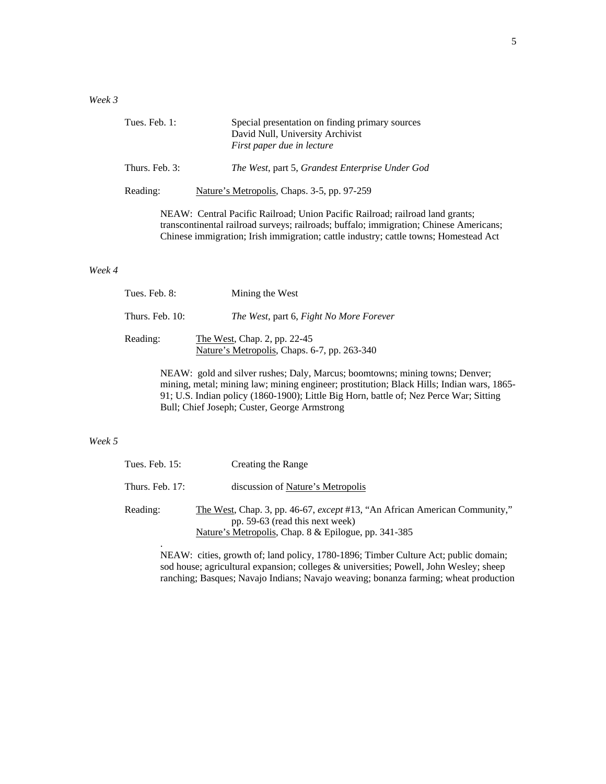# *Week 3*

| Tues. Feb. $1:$ | Special presentation on finding primary sources<br>David Null, University Archivist<br>First paper due in lecture |
|-----------------|-------------------------------------------------------------------------------------------------------------------|
| Thurs. Feb. 3:  | The West, part 5, Grandest Enterprise Under God                                                                   |
| Reading:        | Nature's Metropolis, Chaps. 3-5, pp. 97-259                                                                       |

NEAW: Central Pacific Railroad; Union Pacific Railroad; railroad land grants; transcontinental railroad surveys; railroads; buffalo; immigration; Chinese Americans; Chinese immigration; Irish immigration; cattle industry; cattle towns; Homestead Act

## *Week 4*

| Tues. Feb. 8:   | Mining the West                                                              |  |
|-----------------|------------------------------------------------------------------------------|--|
| Thurs. Feb. 10: | The West, part 6, Fight No More Forever                                      |  |
| Reading:        | The West, Chap. 2, pp. 22-45<br>Nature's Metropolis, Chaps. 6-7, pp. 263-340 |  |

NEAW: gold and silver rushes; Daly, Marcus; boomtowns; mining towns; Denver; mining, metal; mining law; mining engineer; prostitution; Black Hills; Indian wars, 1865- 91; U.S. Indian policy (1860-1900); Little Big Horn, battle of; Nez Perce War; Sitting Bull; Chief Joseph; Custer, George Armstrong

# *Week 5*

| Tues. Feb. 15:    | Creating the Range                                                                                                                                                    |
|-------------------|-----------------------------------------------------------------------------------------------------------------------------------------------------------------------|
| Thurs. Feb. $17:$ | discussion of Nature's Metropolis                                                                                                                                     |
| Reading:          | The West, Chap. 3, pp. 46-67, except #13, "An African American Community,"<br>pp. 59-63 (read this next week)<br>Nature's Metropolis, Chap. 8 & Epilogue, pp. 341-385 |

NEAW: cities, growth of; land policy, 1780-1896; Timber Culture Act; public domain; sod house; agricultural expansion; colleges & universities; Powell, John Wesley; sheep ranching; Basques; Navajo Indians; Navajo weaving; bonanza farming; wheat production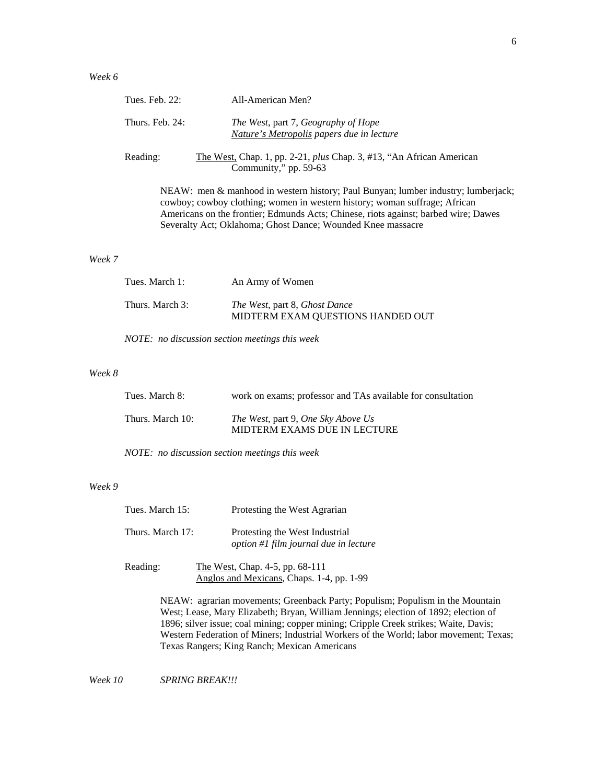|        | Tues. Feb. 22:  | All-American Men?                                                                                                                                                                                                                                                                                                     |
|--------|-----------------|-----------------------------------------------------------------------------------------------------------------------------------------------------------------------------------------------------------------------------------------------------------------------------------------------------------------------|
|        | Thurs. Feb. 24: | <i>The West, part 7, Geography of Hope</i><br>Nature's Metropolis papers due in lecture                                                                                                                                                                                                                               |
|        | Reading:        | The West, Chap. 1, pp. 2-21, plus Chap. 3, #13, "An African American<br>Community," pp. 59-63                                                                                                                                                                                                                         |
|        |                 | NEAW: men & manhood in western history; Paul Bunyan; lumber industry; lumberjack;<br>cowboy; cowboy clothing; women in western history; woman suffrage; African<br>Americans on the frontier; Edmunds Acts; Chinese, riots against; barbed wire; Dawes<br>Severalty Act; Oklahoma; Ghost Dance; Wounded Knee massacre |
| Week 7 |                 |                                                                                                                                                                                                                                                                                                                       |
|        | Tues. March 1:  | An Army of Women                                                                                                                                                                                                                                                                                                      |

MIDTERM EXAM QUESTIONS HANDED OUT

*NOTE: no discussion section meetings this week* 

Thurs. March 3: *The West*, part 8, *Ghost Dance*

### *Week 8*

| Tues. March 8:   | work on exams; professor and TAs available for consultation        |
|------------------|--------------------------------------------------------------------|
| Thurs. March 10: | The West, part 9, One Sky Above Us<br>MIDTERM EXAMS DUE IN LECTURE |

*NOTE: no discussion section meetings this week*

## *Week 9*

| Tues. March 15:  | Protesting the West Agrarian                                                 |
|------------------|------------------------------------------------------------------------------|
| Thurs. March 17: | Protesting the West Industrial<br>option #1 film journal due in lecture      |
| Reading:         | The West, Chap. 4-5, pp. 68-111<br>Anglos and Mexicans, Chaps. 1-4, pp. 1-99 |

NEAW: agrarian movements; Greenback Party; Populism; Populism in the Mountain West; Lease, Mary Elizabeth; Bryan, William Jennings; election of 1892; election of 1896; silver issue; coal mining; copper mining; Cripple Creek strikes; Waite, Davis; Western Federation of Miners; Industrial Workers of the World; labor movement; Texas; Texas Rangers; King Ranch; Mexican Americans

*Week 10 SPRING BREAK!!!*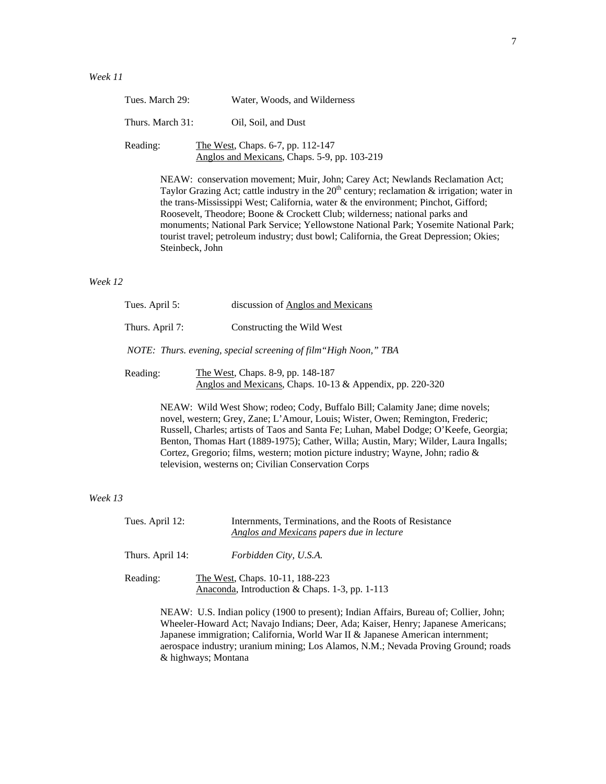| Tues. March 29:  | Water, Woods, and Wilderness                                                      |
|------------------|-----------------------------------------------------------------------------------|
| Thurs. March 31: | Oil, Soil, and Dust                                                               |
| Reading:         | The West, Chaps. 6-7, pp. 112-147<br>Anglos and Mexicans, Chaps. 5-9, pp. 103-219 |

NEAW: conservation movement; Muir, John; Carey Act; Newlands Reclamation Act; Taylor Grazing Act; cattle industry in the  $20<sup>th</sup>$  century; reclamation & irrigation; water in the trans-Mississippi West; California, water & the environment; Pinchot, Gifford; Roosevelt, Theodore; Boone & Crockett Club; wilderness; national parks and monuments; National Park Service; Yellowstone National Park; Yosemite National Park; tourist travel; petroleum industry; dust bowl; California, the Great Depression; Okies; Steinbeck, John

### *Week 12*

| Tues. April 5: |                 | discussion of Anglos and Mexicans                                                              |  |
|----------------|-----------------|------------------------------------------------------------------------------------------------|--|
|                | Thurs. April 7: | Constructing the Wild West                                                                     |  |
|                |                 | NOTE: Thurs. evening, special screening of film "High Noon," TBA                               |  |
|                | Reading:        | The West, Chaps. 8-9, pp. 148-187<br>Anglos and Mexicans, Chaps. 10-13 & Appendix, pp. 220-320 |  |

NEAW: Wild West Show; rodeo; Cody, Buffalo Bill; Calamity Jane; dime novels; novel, western; Grey, Zane; L'Amour, Louis; Wister, Owen; Remington, Frederic; Russell, Charles; artists of Taos and Santa Fe; Luhan, Mabel Dodge; O'Keefe, Georgia; Benton, Thomas Hart (1889-1975); Cather, Willa; Austin, Mary; Wilder, Laura Ingalls; Cortez, Gregorio; films, western; motion picture industry; Wayne, John; radio & television, westerns on; Civilian Conservation Corps

### *Week 13*

| Tues. April 12:  | Internments, Terminations, and the Roots of Resistance<br>Anglos and Mexicans papers due in lecture |
|------------------|-----------------------------------------------------------------------------------------------------|
| Thurs. April 14: | Forbidden City, U.S.A.                                                                              |
| Reading:         | The West, Chaps. 10-11, 188-223<br>Anaconda, Introduction & Chaps. 1-3, pp. 1-113                   |

NEAW: U.S. Indian policy (1900 to present); Indian Affairs, Bureau of; Collier, John; Wheeler-Howard Act; Navajo Indians; Deer, Ada; Kaiser, Henry; Japanese Americans; Japanese immigration; California, World War II & Japanese American internment; aerospace industry; uranium mining; Los Alamos, N.M.; Nevada Proving Ground; roads & highways; Montana